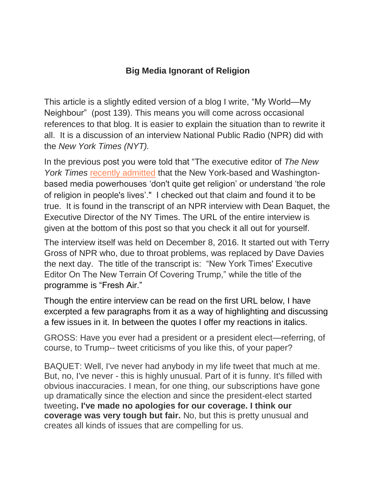## **Big Media Ignorant of Religion**

This article is a slightly edited version of a blog I write, "My World—My Neighbour" (post 139). This means you will come across occasional references to that blog. It is easier to explain the situation than to rewrite it all. It is a discussion of an interview National Public Radio (NPR) did with the *New York Times (NYT).*

In the previous post you were told that "The executive editor of *The New York Times* [recently admitted](http://denisonforum.us1.list-manage2.com/track/click?u=5369bb601ac44bfdda928110b&id=7907467356&e=b0d9827b5e) that the New York-based and Washingtonbased media powerhouses 'don't quite get religion' or understand 'the role of religion in people's lives'." I checked out that claim and found it to be true. It is found in the transcript of an NPR interview with Dean Baquet, the Executive Director of the NY Times. The URL of the entire interview is given at the bottom of this post so that you check it all out for yourself.

The interview itself was held on December 8, 2016. It started out with Terry Gross of NPR who, due to throat problems, was replaced by Dave Davies the next day. The title of the transcript is: "New York Times' Executive Editor On The New Terrain Of Covering Trump," while the title of the programme is "Fresh Air."

Though the entire interview can be read on the first URL below, I have excerpted a few paragraphs from it as a way of highlighting and discussing a few issues in it. In between the quotes I offer my reactions in italics.

GROSS: Have you ever had a president or a president elect—referring, of course, to Trump-- tweet criticisms of you like this, of your paper?

BAQUET: Well, I've never had anybody in my life tweet that much at me. But, no, I've never - this is highly unusual. Part of it is funny. It's filled with obvious inaccuracies. I mean, for one thing, our subscriptions have gone up dramatically since the election and since the president-elect started tweeting**. I've made no apologies for our coverage. I think our coverage was very tough but fair.** No, but this is pretty unusual and creates all kinds of issues that are compelling for us.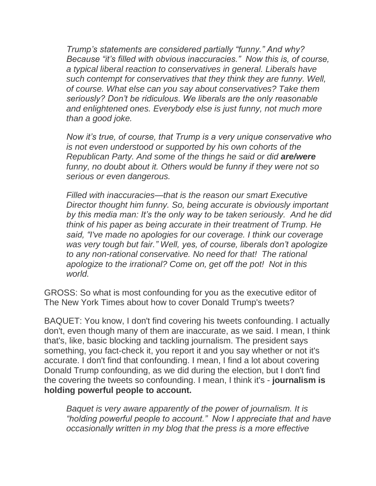*Trump's statements are considered partially "funny." And why? Because "it's filled with obvious inaccuracies." Now this is, of course, a typical liberal reaction to conservatives in general. Liberals have such contempt for conservatives that they think they are funny. Well, of course. What else can you say about conservatives? Take them seriously? Don't be ridiculous. We liberals are the only reasonable and enlightened ones. Everybody else is just funny, not much more than a good joke.* 

*Now it's true, of course, that Trump is a very unique conservative who is not even understood or supported by his own cohorts of the Republican Party. And some of the things he said or did are/were funny, no doubt about it. Others would be funny if they were not so serious or even dangerous.* 

*Filled with inaccuracies—that is the reason our smart Executive Director thought him funny. So, being accurate is obviously important by this media man: It's the only way to be taken seriously. And he did think of his paper as being accurate in their treatment of Trump. He said, "I've made no apologies for our coverage. I think our coverage was very tough but fair." Well, yes, of course, liberals don't apologize to any non-rational conservative. No need for that! The rational apologize to the irrational? Come on, get off the pot! Not in this world.*

GROSS: So what is most confounding for you as the executive editor of The New York Times about how to cover Donald Trump's tweets?

BAQUET: You know, I don't find covering his tweets confounding. I actually don't, even though many of them are inaccurate, as we said. I mean, I think that's, like, basic blocking and tackling journalism. The president says something, you fact-check it, you report it and you say whether or not it's accurate. I don't find that confounding. I mean, I find a lot about covering Donald Trump confounding, as we did during the election, but I don't find the covering the tweets so confounding. I mean, I think it's - **journalism is holding powerful people to account.**

*Baquet is very aware apparently of the power of journalism. It is "holding powerful people to account." Now I appreciate that and have occasionally written in my blog that the press is a more effective*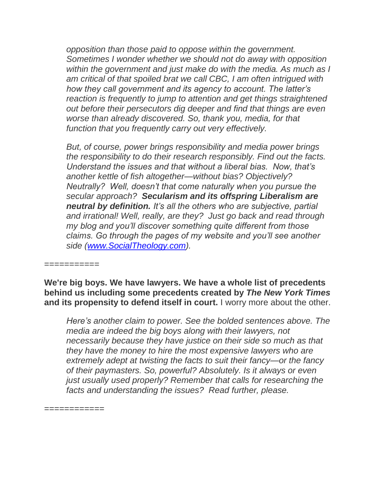*opposition than those paid to oppose within the government. Sometimes I wonder whether we should not do away with opposition within the government and just make do with the media. As much as I am critical of that spoiled brat we call CBC, I am often intrigued with how they call government and its agency to account. The latter's reaction is frequently to jump to attention and get things straightened out before their persecutors dig deeper and find that things are even worse than already discovered. So, thank you, media, for that function that you frequently carry out very effectively.*

*But, of course, power brings responsibility and media power brings the responsibility to do their research responsibly. Find out the facts. Understand the issues and that without a liberal bias. Now, that's another kettle of fish altogether—without bias? Objectively? Neutrally? Well, doesn't that come naturally when you pursue the secular approach? Secularism and its offspring Liberalism are neutral by definition. It's all the others who are subjective, partial and irrational! Well, really, are they? Just go back and read through my blog and you'll discover something quite different from those claims. Go through the pages of my website and you'll see another side [\(www.SocialTheology.com\)](http://www.socialtheology.com/).* 

===========

**We're big boys. We have lawyers. We have a whole list of precedents behind us including some precedents created by** *The New York Times* **and its propensity to defend itself in court.** I worry more about the other.

*Here's another claim to power. See the bolded sentences above. The media are indeed the big boys along with their lawyers, not necessarily because they have justice on their side so much as that they have the money to hire the most expensive lawyers who are extremely adept at twisting the facts to suit their fancy—or the fancy of their paymasters. So, powerful? Absolutely. Is it always or even just usually used properly? Remember that calls for researching the facts and understanding the issues? Read further, please.* 

============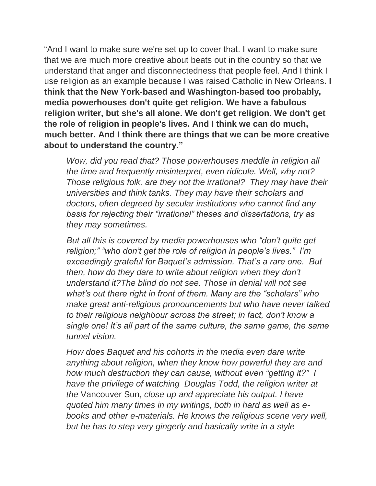"And I want to make sure we're set up to cover that. I want to make sure that we are much more creative about beats out in the country so that we understand that anger and disconnectedness that people feel. And I think I use religion as an example because I was raised Catholic in New Orleans**. I think that the New York-based and Washington-based too probably, media powerhouses don't quite get religion. We have a fabulous religion writer, but she's all alone. We don't get religion. We don't get the role of religion in people's lives. And I think we can do much, much better. And I think there are things that we can be more creative about to understand the country."**

*Wow, did you read that? Those powerhouses meddle in religion all the time and frequently misinterpret, even ridicule. Well, why not? Those religious folk, are they not the irrational? They may have their universities and think tanks. They may have their scholars and doctors, often degreed by secular institutions who cannot find any basis for rejecting their "irrational" theses and dissertations, try as they may sometimes.* 

*But all this is covered by media powerhouses who "don't quite get religion;" "who don't get the role of religion in people's lives." I'm exceedingly grateful for Baquet's admission. That's a rare one. But then, how do they dare to write about religion when they don't understand it?The blind do not see. Those in denial will not see what's out there right in front of them. Many are the "scholars" who make great anti-religious pronouncements but who have never talked to their religious neighbour across the street; in fact, don't know a single one! It's all part of the same culture, the same game, the same tunnel vision.* 

*How does Baquet and his cohorts in the media even dare write anything about religion, when they know how powerful they are and how much destruction they can cause, without even "getting it?" I have the privilege of watching Douglas Todd, the religion writer at the* Vancouver Sun, *close up and appreciate his output. I have quoted him many times in my writings, both in hard as well as ebooks and other e-materials. He knows the religious scene very well, but he has to step very gingerly and basically write in a style*